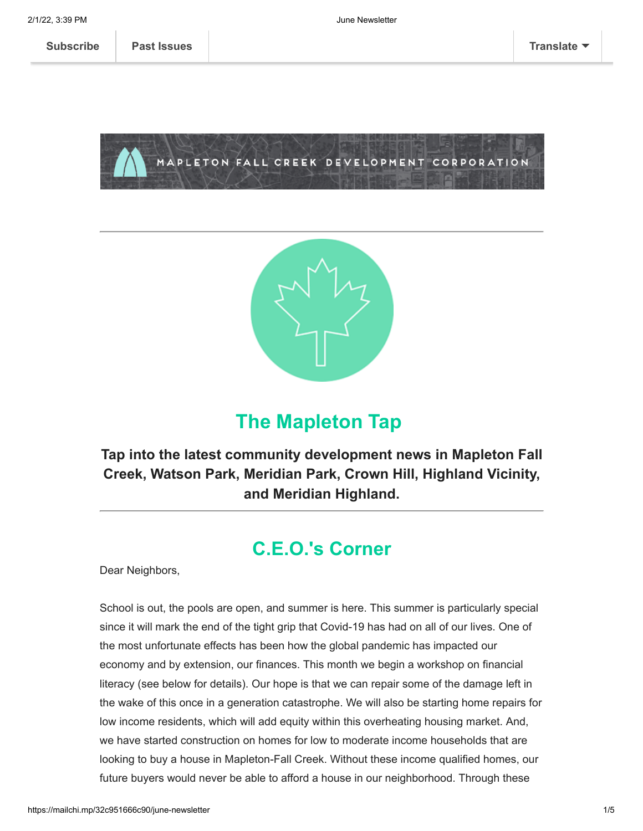MAPLETON FALL CREEK DEVELOPMENT CORPORATION



# **The Mapleton Tap**

**Tap into the latest community development news in Mapleton Fall Creek, Watson Park, Meridian Park, Crown Hill, Highland Vicinity, and Meridian Highland.**

# **C.E.O.'s Corner**

Dear Neighbors,

School is out, the pools are open, and summer is here. This summer is particularly special since it will mark the end of the tight grip that Covid-19 has had on all of our lives. One of the most unfortunate effects has been how the global pandemic has impacted our economy and by extension, our finances. This month we begin a workshop on financial literacy (see below for details). Our hope is that we can repair some of the damage left in the wake of this once in a generation catastrophe. We will also be starting home repairs for low income residents, which will add equity within this overheating housing market. And, we have started construction on homes for low to moderate income households that are looking to buy a house in Mapleton-Fall Creek. Without these income qualified homes, our future buyers would never be able to afford a house in our neighborhood. Through these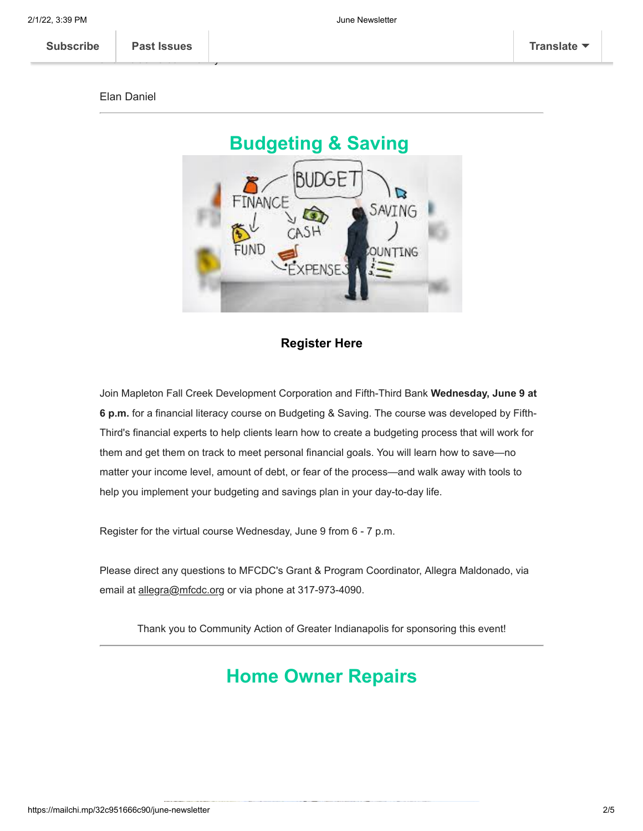#### Elan Daniel

and inclusive community.



ho[me sales, repairs, an](https://us11.campaign-archive.com/home/?u=123f43371c390f9c1cb62ce5d&id=e6d7791531)d financial literacy we will further our vision of creating a diverse of creating a diverse of creating a diverse of creating a diverse of creating a diverse of creating a diverse of creating a diver



### **[Register Here](https://docs.google.com/forms/d/e/1FAIpQLSfAZLlR4qihQLstgpUEhoYSwQ8YFv526Y9YyXKBZvKMuGjhew/viewform)**

Join Mapleton Fall Creek Development Corporation and Fifth-Third Bank **Wednesday, June 9 at 6 p.m.** for a financial literacy course on Budgeting & Saving. The course was developed by Fifth-Third's financial experts to help clients learn how to create a budgeting process that will work for them and get them on track to meet personal financial goals. You will learn how to save—no matter your income level, amount of debt, or fear of the process—and walk away with tools to help you implement your budgeting and savings plan in your day-to-day life.

Register for the virtual course Wednesday, June 9 from 6 - 7 p.m.

Please direct any questions to MFCDC's Grant & Program Coordinator, Allegra Maldonado, via email at allegra@mfcdc.org or via phone at 317-973-4090.

Thank you to Community Action of Greater Indianapolis for sponsoring this event!

## **Home Owner Repairs**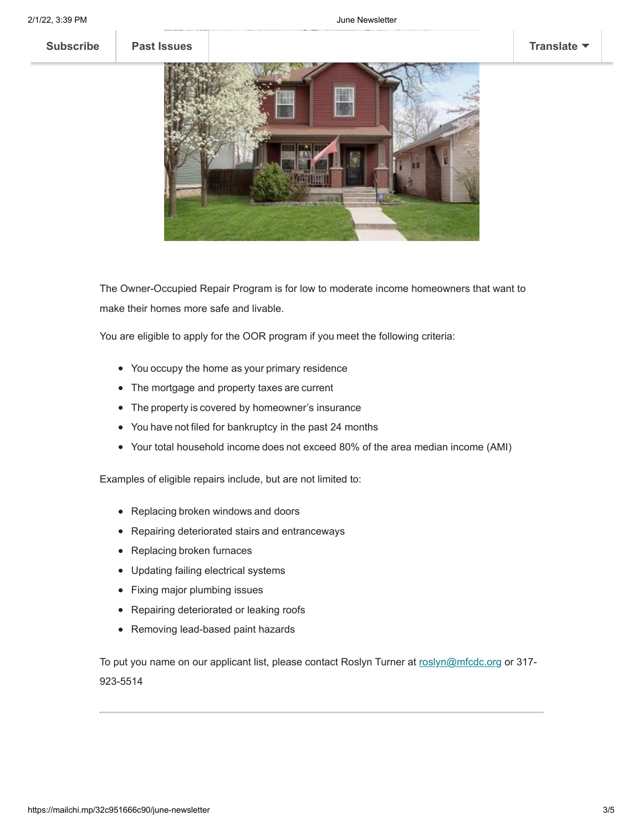

The Owner-Occupied Repair Program is for low to moderate income homeowners that want to make their homes more safe and livable.

You are eligible to apply for the OOR program if you meet the following criteria:

- You occupy the home as your primary residence
- The mortgage and property taxes are current
- The property is covered by homeowner's insurance
- You have not filed for bankruptcy in the past 24 months
- Your total household income does not exceed 80% of the area median income (AMI)

Examples of eligible repairs include, but are not limited to:

- Replacing broken windows and doors
- Repairing deteriorated stairs and entranceways
- Replacing broken furnaces
- Updating failing electrical systems
- Fixing major plumbing issues
- Repairing deteriorated or leaking roofs
- Removing lead-based paint hazards

To put you name on our applicant list, please contact Roslyn Turner at [roslyn@mfcdc.org](mailto:roslyn@mfcdc.org) or 317-923-5514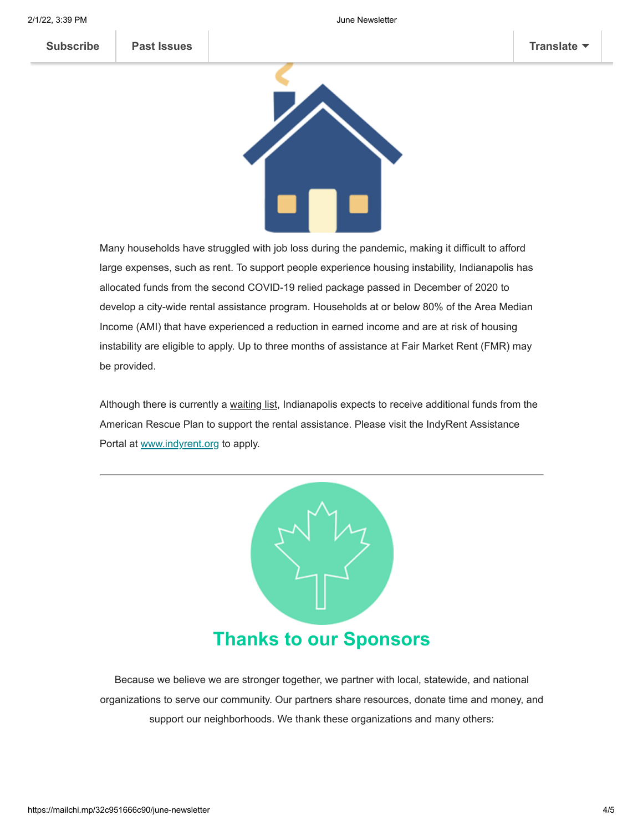

Many households have struggled with job loss during the pandemic, making it difficult to afford large expenses, such as rent. To support people experience housing instability, Indianapolis has allocated funds from the second COVID-19 relied package passed in December of 2020 to develop a city-wide rental assistance program. Households at or below 80% of the Area Median Income (AMI) that have experienced a reduction in earned income and are at risk of housing instability are eligible to apply. Up to three months of assistance at Fair Market Rent (FMR) may be provided.

Although there is currently a waiting list, Indianapolis expects to receive additional funds from the American Rescue Plan to support the rental assistance. Please visit the IndyRent Assistance Portal at [www.indyrent.org](http://www.indyrent.org/) to apply.



Because we believe we are stronger together, we partner with local, statewide, and national organizations to serve our community. Our partners share resources, donate time and money, and support our neighborhoods. We thank these organizations and many others: